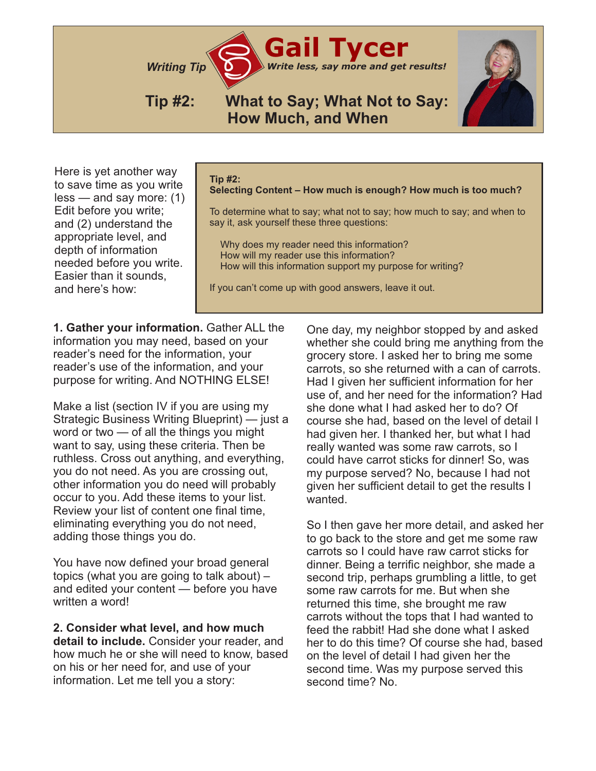*Writing Tip Write less, say more and get results!*

## **Tip #2: What to Say; What Not to Say: How Much, and When**

**Gail Tycer**

Here is yet another way to save time as you write less — and say more: (1) Edit before you write; and (2) understand the appropriate level, and depth of information needed before you write. Easier than it sounds, and here's how:

## **Tip #2:**

**Selecting Content – How much is enough? How much is too much?**

To determine what to say; what not to say; how much to say; and when to say it, ask yourself these three questions:

 Why does my reader need this information? How will my reader use this information? How will this information support my purpose for writing?

If you can't come up with good answers, leave it out.

**1. Gather your information.** Gather ALL the information you may need, based on your reader's need for the information, your reader's use of the information, and your purpose for writing. And NOTHING ELSE!

Make a list (section IV if you are using my Strategic Business Writing Blueprint) — just a word or two — of all the things you might want to say, using these criteria. Then be ruthless. Cross out anything, and everything, you do not need. As you are crossing out, other information you do need will probably occur to you. Add these items to your list. Review your list of content one final time, eliminating everything you do not need, adding those things you do.

You have now defined your broad general topics (what you are going to talk about) – and edited your content — before you have written a word!

**2. Consider what level, and how much detail to include.** Consider your reader, and how much he or she will need to know, based on his or her need for, and use of your information. Let me tell you a story:

One day, my neighbor stopped by and asked whether she could bring me anything from the grocery store. I asked her to bring me some carrots, so she returned with a can of carrots. Had I given her sufficient information for her use of, and her need for the information? Had she done what I had asked her to do? Of course she had, based on the level of detail I had given her. I thanked her, but what I had really wanted was some raw carrots, so I could have carrot sticks for dinner! So, was my purpose served? No, because I had not given her sufficient detail to get the results I wanted.

So I then gave her more detail, and asked her to go back to the store and get me some raw carrots so I could have raw carrot sticks for dinner. Being a terrific neighbor, she made a second trip, perhaps grumbling a little, to get some raw carrots for me. But when she returned this time, she brought me raw carrots without the tops that I had wanted to feed the rabbit! Had she done what I asked her to do this time? Of course she had, based on the level of detail I had given her the second time. Was my purpose served this second time? No.